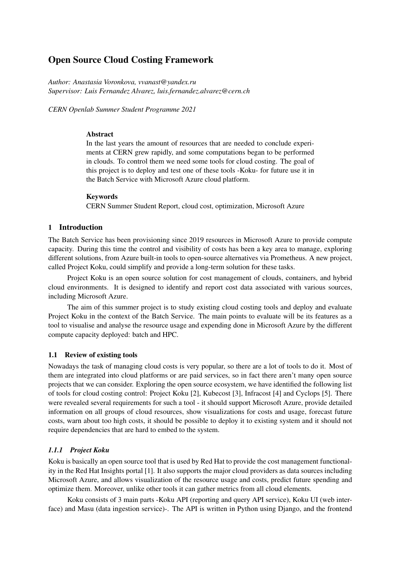# Open Source Cloud Costing Framework

*Author: Anastasia Voronkova, vvanast@yandex.ru Supervisor: Luis Fernandez Alvarez, luis.fernandez.alvarez@cern.ch*

*CERN Openlab Summer Student Programme 2021*

### Abstract

In the last years the amount of resources that are needed to conclude experiments at CERN grew rapidly, and some computations began to be performed in clouds. To control them we need some tools for cloud costing. The goal of this project is to deploy and test one of these tools -Koku- for future use it in the Batch Service with Microsoft Azure cloud platform.

# Keywords

CERN Summer Student Report, cloud cost, optimization, Microsoft Azure

# 1 Introduction

The Batch Service has been provisioning since 2019 resources in Microsoft Azure to provide compute capacity. During this time the control and visibility of costs has been a key area to manage, exploring different solutions, from Azure built-in tools to open-source alternatives via Prometheus. A new project, called Project Koku, could simplify and provide a long-term solution for these tasks.

Project Koku is an open source solution for cost management of clouds, containers, and hybrid cloud environments. It is designed to identify and report cost data associated with various sources, including Microsoft Azure.

The aim of this summer project is to study existing cloud costing tools and deploy and evaluate Project Koku in the context of the Batch Service. The main points to evaluate will be its features as a tool to visualise and analyse the resource usage and expending done in Microsoft Azure by the different compute capacity deployed: batch and HPC.

### 1.1 Review of existing tools

Nowadays the task of managing cloud costs is very popular, so there are a lot of tools to do it. Most of them are integrated into cloud platforms or are paid services, so in fact there aren't many open source projects that we can consider. Exploring the open source ecosystem, we have identified the following list of tools for cloud costing control: Project Koku [2], Kubecost [3], Infracost [4] and Cyclops [5]. There were revealed several requirements for such a tool - it should support Microsoft Azure, provide detailed information on all groups of cloud resources, show visualizations for costs and usage, forecast future costs, warn about too high costs, it should be possible to deploy it to existing system and it should not require dependencies that are hard to embed to the system.

# *1.1.1 Project Koku*

Koku is basically an open source tool that is used by Red Hat to provide the cost management functionality in the Red Hat Insights portal [1]. It also supports the major cloud providers as data sources including Microsoft Azure, and allows visualization of the resource usage and costs, predict future spending and optimize them. Moreover, unlike other tools it can gather metrics from all cloud elements.

Koku consists of 3 main parts -Koku API (reporting and query API service), Koku UI (web interface) and Masu (data ingestion service)-. The API is written in Python using Django, and the frontend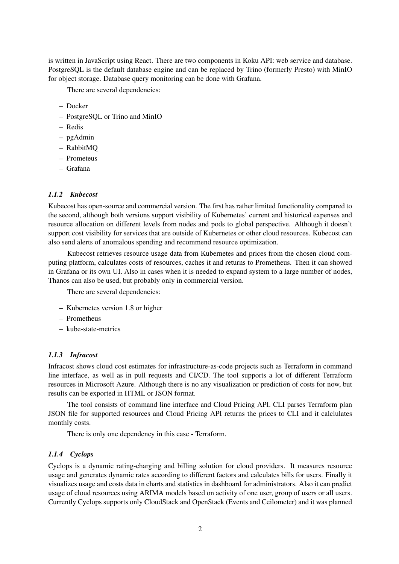is written in JavaScript using React. There are two components in Koku API: web service and database. PostgreSQL is the default database engine and can be replaced by Trino (formerly Presto) with MinIO for object storage. Database query monitoring can be done with Grafana.

There are several dependencies:

- Docker
- PostgreSQL or Trino and MinIO
- Redis
- pgAdmin
- RabbitMQ
- Prometeus
- Grafana

### *1.1.2 Kubecost*

Kubecost has open-source and commercial version. The first has rather limited functionality compared to the second, although both versions support visibility of Kubernetes' current and historical expenses and resource allocation on different levels from nodes and pods to global perspective. Although it doesn't support cost visibility for services that are outside of Kubernetes or other cloud resources. Kubecost can also send alerts of anomalous spending and recommend resource optimization.

Kubecost retrieves resource usage data from Kubernetes and prices from the chosen cloud computing platform, calculates costs of resources, caches it and returns to Prometheus. Then it can showed in Grafana or its own UI. Also in cases when it is needed to expand system to a large number of nodes, Thanos can also be used, but probably only in commercial version.

There are several dependencies:

- Kubernetes version 1.8 or higher
- Prometheus
- kube-state-metrics

#### *1.1.3 Infracost*

Infracost shows cloud cost estimates for infrastructure-as-code projects such as Terraform in command line interface, as well as in pull requests and CI/CD. The tool supports a lot of different Terraform resources in Microsoft Azure. Although there is no any visualization or prediction of costs for now, but results can be exported in HTML or JSON format.

The tool consists of command line interface and Cloud Pricing API. CLI parses Terraform plan JSON file for supported resources and Cloud Pricing API returns the prices to CLI and it calclulates monthly costs.

There is only one dependency in this case - Terraform.

#### *1.1.4 Cyclops*

Cyclops is a dynamic rating-charging and billing solution for cloud providers. It measures resource usage and generates dynamic rates according to different factors and calculates bills for users. Finally it visualizes usage and costs data in charts and statistics in dashboard for administrators. Also it can predict usage of cloud resources using ARIMA models based on activity of one user, group of users or all users. Currently Cyclops supports only CloudStack and OpenStack (Events and Ceilometer) and it was planned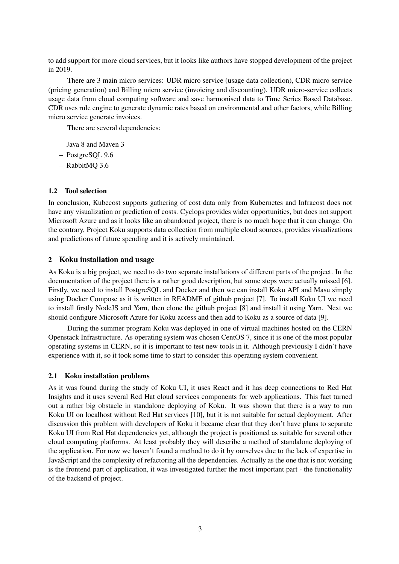to add support for more cloud services, but it looks like authors have stopped development of the project in 2019.

There are 3 main micro services: UDR micro service (usage data collection), CDR micro service (pricing generation) and Billing micro service (invoicing and discounting). UDR micro-service collects usage data from cloud computing software and save harmonised data to Time Series Based Database. CDR uses rule engine to generate dynamic rates based on environmental and other factors, while Billing micro service generate invoices.

There are several dependencies:

- Java 8 and Maven 3
- PostgreSQL 9.6
- RabbitMQ 3.6

# 1.2 Tool selection

In conclusion, Kubecost supports gathering of cost data only from Kubernetes and Infracost does not have any visualization or prediction of costs. Cyclops provides wider opportunities, but does not support Microsoft Azure and as it looks like an abandoned project, there is no much hope that it can change. On the contrary, Project Koku supports data collection from multiple cloud sources, provides visualizations and predictions of future spending and it is actively maintained.

# 2 Koku installation and usage

As Koku is a big project, we need to do two separate installations of different parts of the project. In the documentation of the project there is a rather good description, but some steps were actually missed [6]. Firstly, we need to install PostgreSQL and Docker and then we can install Koku API and Masu simply using Docker Compose as it is written in README of github project [7]. To install Koku UI we need to install firstly NodeJS and Yarn, then clone the github project [8] and install it using Yarn. Next we should configure Microsoft Azure for Koku access and then add to Koku as a source of data [9].

During the summer program Koku was deployed in one of virtual machines hosted on the CERN Openstack Infrastructure. As operating system was chosen CentOS 7, since it is one of the most popular operating systems in CERN, so it is important to test new tools in it. Although previously I didn't have experience with it, so it took some time to start to consider this operating system convenient.

### 2.1 Koku installation problems

As it was found during the study of Koku UI, it uses React and it has deep connections to Red Hat Insights and it uses several Red Hat cloud services components for web applications. This fact turned out a rather big obstacle in standalone deploying of Koku. It was shown that there is a way to run Koku UI on localhost without Red Hat services [10], but it is not suitable for actual deployment. After discussion this problem with developers of Koku it became clear that they don't have plans to separate Koku UI from Red Hat dependencies yet, although the project is positioned as suitable for several other cloud computing platforms. At least probably they will describe a method of standalone deploying of the application. For now we haven't found a method to do it by ourselves due to the lack of expertise in JavaScript and the complexity of refactoring all the dependencies. Actually as the one that is not working is the frontend part of application, it was investigated further the most important part - the functionality of the backend of project.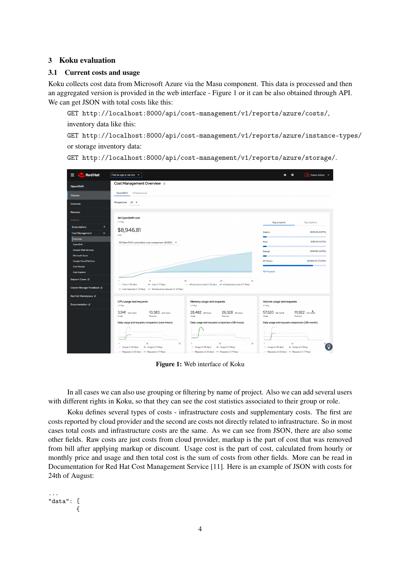### 3 Koku evaluation

#### 3.1 Current costs and usage

Koku collects cost data from Microsoft Azure via the Masu component. This data is processed and then an aggregated version is provided in the web interface - Figure 1 or it can be also obtained through API. We can get JSON with total costs like this:

GET http://localhost:8000/api/cost-management/v1/reports/azure/costs/, inventory data like this:

GET http://localhost:8000/api/cost-management/v1/reports/azure/instance-types/ or storage inventory data:

| <b>Red Hat</b>                       | Find an app or service -                                                                               |                                                                                                         | Demo Admin v<br>ℯ<br>a.                                                                                     |
|--------------------------------------|--------------------------------------------------------------------------------------------------------|---------------------------------------------------------------------------------------------------------|-------------------------------------------------------------------------------------------------------------|
| OpenShift                            | Cost Management Overview ®                                                                             |                                                                                                         |                                                                                                             |
| <b>Clusters</b>                      | Infrastructure<br>OpenShift                                                                            |                                                                                                         |                                                                                                             |
| Overview                             | Perspective All =                                                                                      |                                                                                                         |                                                                                                             |
| Releases                             |                                                                                                        |                                                                                                         |                                                                                                             |
| <b>INSIGHTS</b>                      | All OpenShift cost<br>$1-7$ May                                                                        |                                                                                                         | Top projects<br>Top clusters                                                                                |
| $\rightarrow$<br>Subscriptions<br>v  | \$8,946.81                                                                                             |                                                                                                         | \$606.26 (6.97%)<br>Madrid                                                                                  |
| Cost Management<br>Overview          | Cost                                                                                                   |                                                                                                         | \$601.94 (6.92%)                                                                                            |
| OpenShift<br>Amazon Web Services     | All OpenShift cumulative cost comparison (\$USD) -                                                     |                                                                                                         | Paris                                                                                                       |
| Microsoft Azure                      |                                                                                                        |                                                                                                         | \$593.90 (6.83%)<br>Raleigh                                                                                 |
| Google Cloud Platform<br>Cost Models |                                                                                                        |                                                                                                         | \$6,898.40 (79.29%)<br>67 Others                                                                            |
| Cost Explorer                        |                                                                                                        |                                                                                                         | All Projects                                                                                                |
| Support Cases &                      | 8<br>$=$ Cost (1-30 Apr)<br>$-$ Cost (1-7 May)                                                         | 16<br>24<br>31<br>--- Infrastructure cost (1-30 Apr) -- Infrastructure cost (1-7 May)                   |                                                                                                             |
| Cluster Manager Feedback &           | - Cost forecast (7-31 May)<br>- Infrastructure forecast (7-31 May)                                     |                                                                                                         |                                                                                                             |
| Red Hat Marketplace E'               |                                                                                                        |                                                                                                         |                                                                                                             |
| Documentation 区                      | CPU usage and requests<br>$1-7$ May                                                                    | Memory usage and requests<br>$1-7$ May                                                                  | Volume usage and requests<br>1-7 May                                                                        |
|                                      | 3,941 core-hours<br>10,383 core-hours<br>Usage<br>Requests                                             | 28,482 GB-hours<br>26,328 GB-hours<br>Usage<br>Requests                                                 | 111,922 GB-month<br>57,520 GB-month<br>Usage<br>Requests                                                    |
|                                      | Daily usage and requests comparison (core-hours)                                                       | Daily usage and requests comparison (GB-hours)                                                          | Daily usage and requests comparison (GB-month)                                                              |
|                                      |                                                                                                        |                                                                                                         |                                                                                                             |
|                                      | 15<br>31<br>$=$ Usage (1-30 Apr)<br>$-$ Usage (1-7 May)<br>Begunste (1.20 Apr) an Democrate (1.7 Mars) | $15\,$<br>31<br>$-$ Usage (1-30 Apr)<br>$-$ Usage (1-7 May)<br>Degrade (1.20 Apr) an Degrade (1.7 Mars) | $15\,$<br>ဂ္<br>$-$ Usage (1-30 Apr)<br>- Usage (1-7 May)<br>Depression (1.20 Apr) are Depressed (1.7 Mars) |

GET http://localhost:8000/api/cost-management/v1/reports/azure/storage/.

Figure 1: Web interface of Koku

In all cases we can also use grouping or filtering by name of project. Also we can add several users with different rights in Koku, so that they can see the cost statistics associated to their group or role.

Koku defines several types of costs - infrastructure costs and supplementary costs. The first are costs reported by cloud provider and the second are costs not directly related to infrastructure. So in most cases total costs and infrastructure costs are the same. As we can see from JSON, there are also some other fields. Raw costs are just costs from cloud provider, markup is the part of cost that was removed from bill after applying markup or discount. Usage cost is the part of cost, calculated from hourly or monthly price and usage and then total cost is the sum of costs from other fields. More can be read in Documentation for Red Hat Cost Management Service [11]. Here is an example of JSON with costs for 24th of August:

```
...
"data": [
         {
```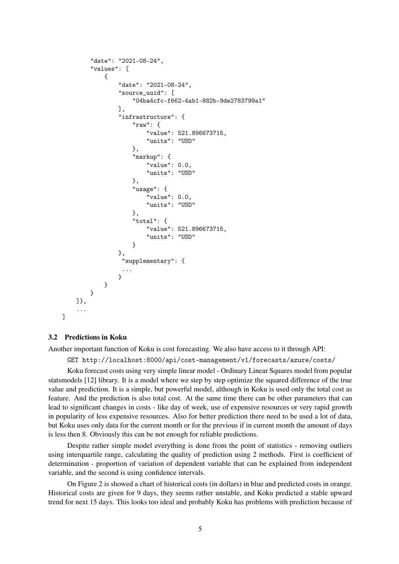```
"date": "2021-08-24",
    "values": [
        {
             "date": "2021-08-24",
             "source_uuid": [
                 "04ba4cfc-f662-4ab1-882b-9de2783799a1"
            ],
             "infrastructure": {
                 "raw": {
                     "value": 521.896673715,
                     "units": "USD"
                },
                 "markup": {
                     "value": 0.0,
                     "units": "USD"
                },
                 "usage": {
                     "value": 0.0,
                     "units": "USD"
                },
                 "total": {
                     "value": 521.896673715,
                     "units": "USD"
                 }
             },
              "supplementary": {
              ...
             }
        }
    }
]},
...
```
#### 3.2 Predictions in Koku

]

Another important function of Koku is cost forecasting. We also have access to it through API:

GET http://localhost:8000/api/cost-management/v1/forecasts/azure/costs/

Koku forecast costs using very simple linear model - Ordinary Linear Squares model from popular statsmodels [12] library. It is a model where we step by step optimize the squared difference of the true value and prediction. It is a simple, but powerful model, although in Koku is used only the total cost as feature. And the prediction is also total cost. At the same time there can be other parameters that can lead to significant changes in costs - like day of week, use of expensive resources or very rapid growth in popularity of less expensive resources. Also for better prediction there need to be used a lot of data, but Koku uses only data for the current month or for the previous if in current month the amount of days is less then 8. Obviously this can be not enough for reliable predictions.

Despite rather simple model everything is done from the point of statistics - removing outliers using interquartile range, calculating the quality of prediction using 2 methods. First is coefficient of determination - proportion of variation of dependent variable that can be explained from independent variable, and the second is using confidence intervals.

On Figure 2 is showed a chart of historical costs (in dollars) in blue and predicted costs in orange. Historical costs are given for 9 days, they seems rather unstable, and Koku predicted a stable upward trend for next 15 days. This looks too ideal and probably Koku has problems with prediction because of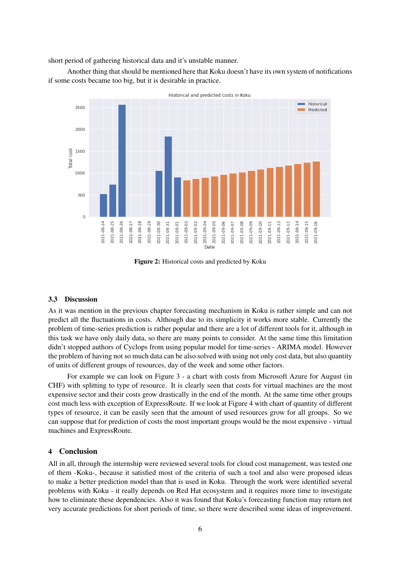short period of gathering historical data and it's unstable manner.

Another thing that should be mentioned here that Koku doesn't have its own system of notifications if some costs became too big, but it is desirable in practice.



Figure 2: Historical costs and predicted by Koku

#### 3.3 Discussion

As it was mention in the previous chapter forecasting mechanism in Koku is rather simple and can not predict all the fluctuations in costs. Although due to its simplicity it works more stable. Currently the problem of time-series prediction is rather popular and there are a lot of different tools for it, although in this task we have only daily data, so there are many points to consider. At the same time this limitation didn't stopped authors of Cyclops from using popular model for time-series - ARIMA model. However the problem of having not so much data can be also solved with using not only cost data, but also quantity of units of different groups of resources, day of the week and some other factors.

For example we can look on Figure 3 - a chart with costs from Microsoft Azure for August (in CHF) with splitting to type of resource. It is clearly seen that costs for virtual machines are the most expensive sector and their costs grow drastically in the end of the month. At the same time other groups cost much less with exception of ExpressRoute. If we look at Figure 4 with chart of quantity of different types of resource, it can be easily seen that the amount of used resources grow for all groups. So we can suppose that for prediction of costs the most important groups would be the most expensive - virtual machines and ExpressRoute.

#### 4 Conclusion

All in all, through the internship were reviewed several tools for cloud cost management, was tested one of them -Koku-, because it satisfied most of the criteria of such a tool and also were proposed ideas to make a better prediction model than that is used in Koku. Through the work were identified several problems with Koku - it really depends on Red Hat ecosystem and it requires more time to investigate how to eliminate these dependencies. Also it was found that Koku's forecasting function may return not very accurate predictions for short periods of time, so there were described some ideas of improvement.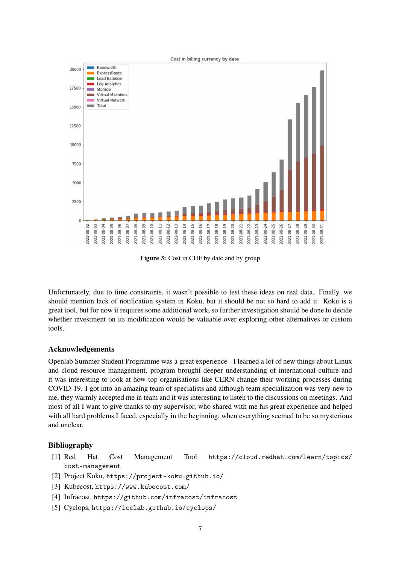

Figure 3: Cost in CHF by date and by group

Unfortunately, due to time constraints, it wasn't possible to test these ideas on real data. Finally, we should mention lack of notification system in Koku, but it should be not so hard to add it. Koku is a great tool, but for now it requires some additional work, so further investigation should be done to decide whether investment on its modification would be valuable over exploring other alternatives or custom tools.

# Acknowledgements

Openlab Summer Student Programme was a great experience - I learned a lot of new things about Linux and cloud resource management, program brought deeper understanding of international culture and it was interesting to look at how top organisations like CERN change their working processes during COVID-19. I got into an amazing team of specialists and although team specialization was very new to me, they warmly accepted me in team and it was interesting to listen to the discussions on meetings. And most of all I want to give thanks to my supervisor, who shared with me his great experience and helped with all hard problems I faced, especially in the beginning, when everything seemed to be so mysterious and unclear.

### Bibliography

- [1] Red Hat Cost Management Tool https://cloud.redhat.com/learn/topics/ cost-management
- [2] Project Koku, https://project-koku.github.io/
- [3] Kubecost, https://www.kubecost.com/
- [4] Infracost, https://github.com/infracost/infracost
- [5] Cyclops, https://icclab.github.io/cyclops/